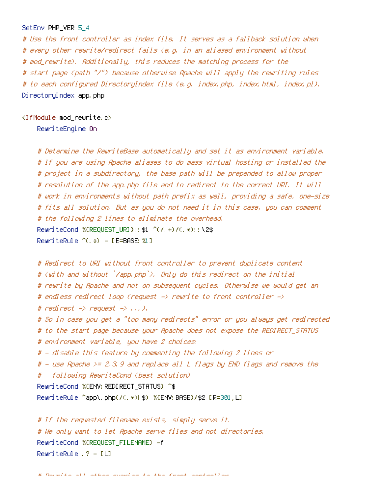## SetEnv PHP\_VER 5\_4

# Use the front controller as index file. It serves as <sup>a</sup> fallback solution when # every other rewrite/redirect fails (e.g. in an aliased environment without # mod\_rewrite). Additionally, this reduces the matching process for the # start page (path "/") because otherwise Apache will apply the rewriting rules # to each configured DirectoryIndex file (e.g. index.php, index.html, index.pl). DirectoryIndex app.php

 $\triangleleft$  fModule mod rewrite.c>

RewriteEngine On

# Determine the RewriteBase automatically and set it as environment variable. # If you are using Apache aliases to do mass virtual hosting or installed the # project in <sup>a</sup> subdirectory, the base path will be prepended to allow proper # resolution of the app.php file and to redirect to the correct URI. It will # work in environments without path prefix as well, providing <sup>a</sup> safe, one-size # fits all solution. But as you do not need it in this case, you can comment # the following 2 lines to eliminate the overhead. RewriteCond %{REQUEST\_URI}::\$1 ^(/.+)/(.\*)::\2\$ RewriteRule  $^{\wedge}$ (,  $*)$  - [E=BASE: %1]

```
# Redirect to URI without front controller to prevent duplicate content
# (with and without `/app.php`). Only do this redirect on the initial
# rewrite by Apache and not on subsequent cycles. Otherwise we would get an
# endless redirect loop (request -> rewrite to front controller ->
# redirect \rightarrow request \rightarrow \dots).
# So in case you get a "too many redirects" error or you always get redirected
# to the start page because your Apache does not expose the REDIRECT_STATUS
# environment variable, you have 2 choices:
# - disable this feature by commenting the following 2 lines or
# - use Apache >= 2.3.9 and replace all L flags by END flags and remove the
# following RewriteCond (best solution)
RewriteCond %{ENV:REDIRECT_STATUS} ^$
RewriteRule ^app\.php(/(.*)|$) %{ENV:BASE}/$2 [R=301,L]
# If the requested filename exists, simply serve it.
```
# We only want to let Apache serve files and not directories. RewriteCond %{REQUEST\_FILENAME} -f RewriteRule .? - [L]

# Rewrite all other queries to the front controller.